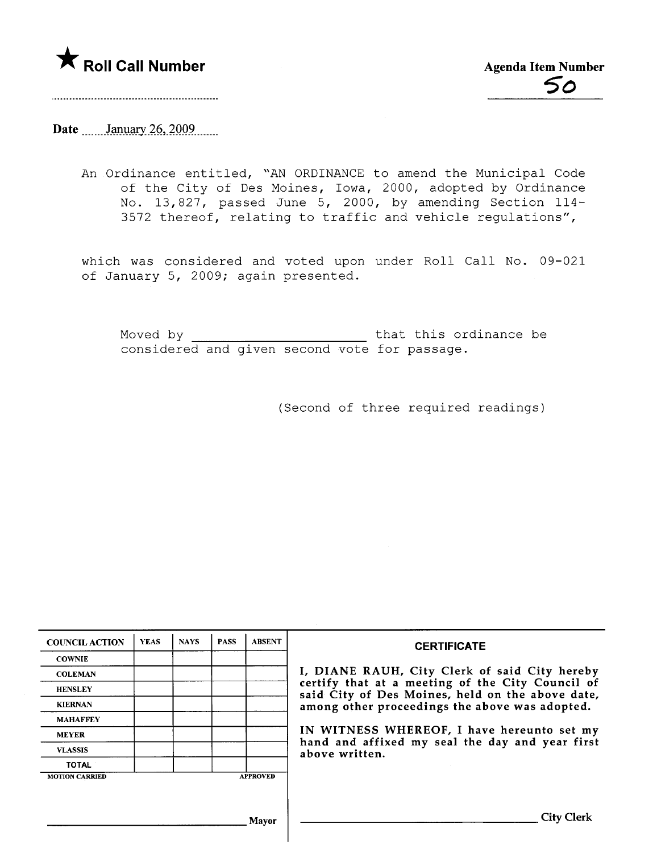

# Date  $\frac{\text{January } 26, 2009}{\text{Input}}$

An Ordinance entitled, "AN ORDINANCE to amend the Municipal Code of the City of Des Moines, Iowa, 2000, adopted by Ordinance No. 13,827, passed June 5, 2000, by amending Section 114- 3572 thereof, relating to traffic and vehicle regulations",

which was considered and voted upon under Roll Call No. 09-021 of January 5, 2009; again presented.

Moved by that this ordinance be considered and given second vote for passage.

(Second of three required readings)

| <b>COUNCIL ACTION</b> | <b>YEAS</b> | <b>NAYS</b> | <b>PASS</b> | <b>ABSENT</b>   | <b>CERTIFICATE</b>                                                                                   |  |  |  |  |  |
|-----------------------|-------------|-------------|-------------|-----------------|------------------------------------------------------------------------------------------------------|--|--|--|--|--|
| <b>COWNIE</b>         |             |             |             |                 |                                                                                                      |  |  |  |  |  |
| <b>COLEMAN</b>        |             |             |             |                 | I, DIANE RAUH, City Clerk of said City hereby                                                        |  |  |  |  |  |
| <b>HENSLEY</b>        |             |             |             |                 | certify that at a meeting of the City Council of<br>said City of Des Moines, held on the above date, |  |  |  |  |  |
| <b>KIERNAN</b>        |             |             |             |                 | among other proceedings the above was adopted.                                                       |  |  |  |  |  |
| <b>MAHAFFEY</b>       |             |             |             |                 | IN WITNESS WHEREOF, I have hereunto set my<br>hand and affixed my seal the day and year first        |  |  |  |  |  |
| <b>MEYER</b>          |             |             |             |                 |                                                                                                      |  |  |  |  |  |
| <b>VLASSIS</b>        |             |             |             |                 | above written.                                                                                       |  |  |  |  |  |
| <b>TOTAL</b>          |             |             |             |                 |                                                                                                      |  |  |  |  |  |
| <b>MOTION CARRIED</b> |             |             |             | <b>APPROVED</b> |                                                                                                      |  |  |  |  |  |
|                       |             |             |             |                 |                                                                                                      |  |  |  |  |  |
|                       |             |             |             | Mavor           | City Clerk                                                                                           |  |  |  |  |  |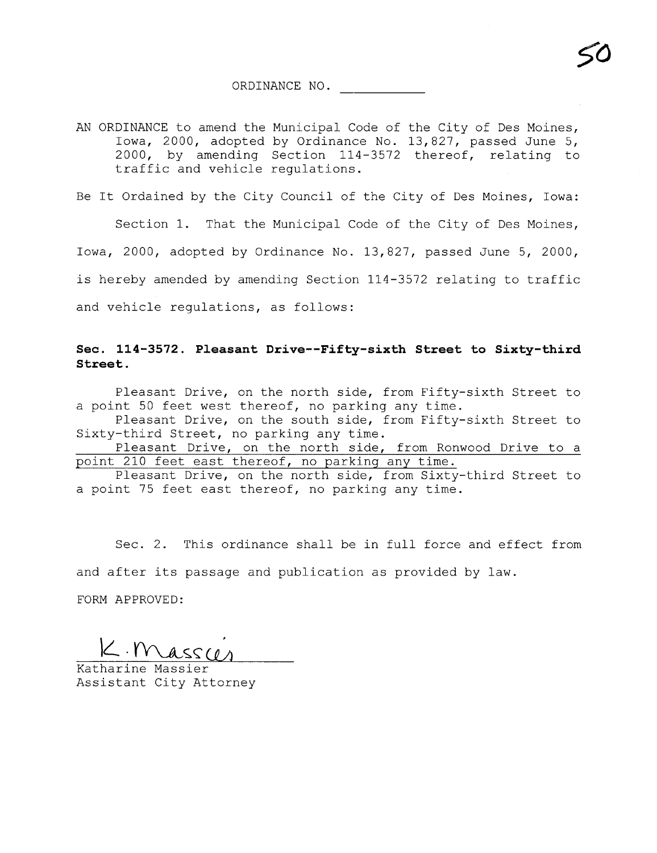AN ORDINANCE to amend the Municipal Code of the City of Des Moines, Iowa, 2000, adopted by Ordinance No. 13,827, passed June 5, 2000, by amending Section 114-3572 thereof, relating to traffic and vehicle regulations.

Be It Ordained by the City Council of the City of Des Moines, Iowa:

Section 1. That the Municipal Code of the City of Des Moines, Iowa, 2000, adopted by Ordinance No. 13,827, passed June 5, 2000, is hereby amended by amending Section 114-3572 relating to traffic and vehicle regulations, as follows:

## See. 114-3572. Pleasant Drive--Fifty-sixth Street to Sixty-third Street.

Pleasant Drive, on the north side, from Fifty-sixth Street to a point 50 feet west thereof, no parking any time.

Pleasant Drive, on the south side, from Fifty-sixth Street to Sixty-third Street, no parking any time.

Pleasant Drive, on the north side, from Ronwood Drive to a point 210 feet east thereof, no parking any time.

Pleasant Drive, on the north side, from Sixty-third Street to a point 75 feet east thereof, no parking any time.

Sec. 2. This ordinance shall be in full force and effect from and after its passage and publication as provided by law.

FORM APPROVED:

 $K.$ Mass $\alpha$ 

Assistant City Attorney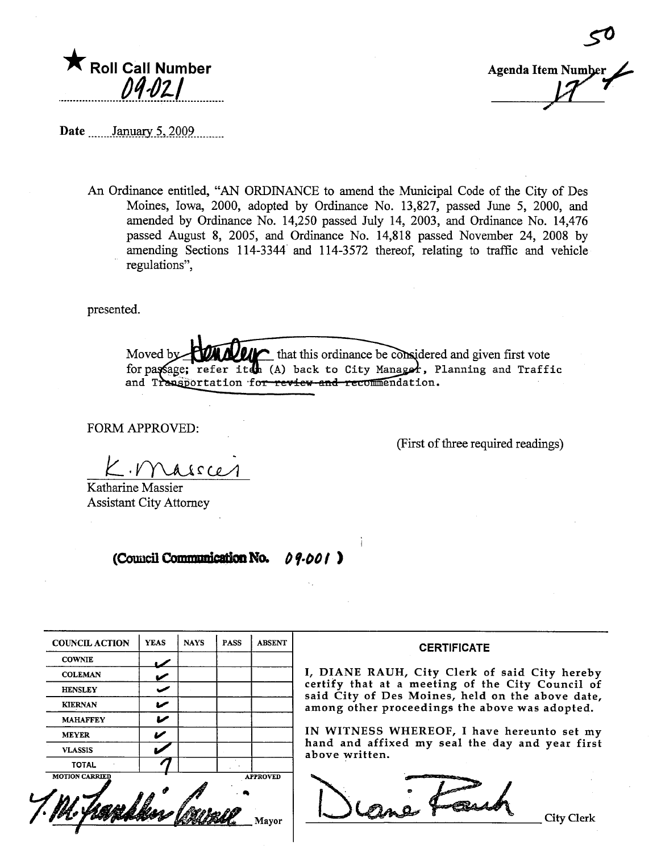

**Agenda Item Number** 

Date January 5, 2009

An Ordinance entitled, "AN ORDINANCE to amend the Municipal Code of the City of Des Moines, Iowa, 2000, adopted by Ordinance No. 13,827, passed June 5, 2000, and amended by Ordinance No. 14,250 passed July 14, 2003, and Ordinance No. 14,476 passed August 8, 2005, and Ordinance No. 14,818 passed November 24, 2008 by amending Sections 114-3344 and 114-3572 thereof, relating to traffic and vehicle regulations".

presented.

that this ordinance be considered and given first vote Moved b for passage; refer iten (A) back to City Manager, Planning and Traffic and Transportation for review and recommendation.

FORM APPROVED:

(First of three required readings)

 $A \land C$ e

Katharine Massier **Assistant City Attorney** 

#### (Council Communication No. 09.001)

| <b>COUNCIL ACTION</b> | <b>YEAS</b> | <b>NAYS</b> | <b>PASS</b> | <b>ABSENT</b>   |
|-----------------------|-------------|-------------|-------------|-----------------|
| <b>COWNIE</b>         |             |             |             |                 |
| <b>COLEMAN</b>        |             |             |             |                 |
| <b>HENSLEY</b>        |             |             |             |                 |
| <b>KIERNAN</b>        |             |             |             |                 |
| <b>MAHAFFEY</b>       |             |             |             |                 |
| <b>MEYER</b>          |             |             |             |                 |
| <b>VLASSIS</b>        |             |             |             |                 |
| <b>TOTAL</b>          |             |             |             |                 |
| <b>MOTION CARRIED</b> |             |             |             | <b>APPROVED</b> |
|                       |             |             |             |                 |

### **CERTIFICATE**

I, DIANE RAUH, City Clerk of said City hereby certify that at a meeting of the City Council of<br>said City of Des Moines, held on the above date, among other proceedings the above was adopted.

IN WITNESS WHEREOF, I have hereunto set my hand and affixed my seal the day and year first above written.

lane For

**City Clerk**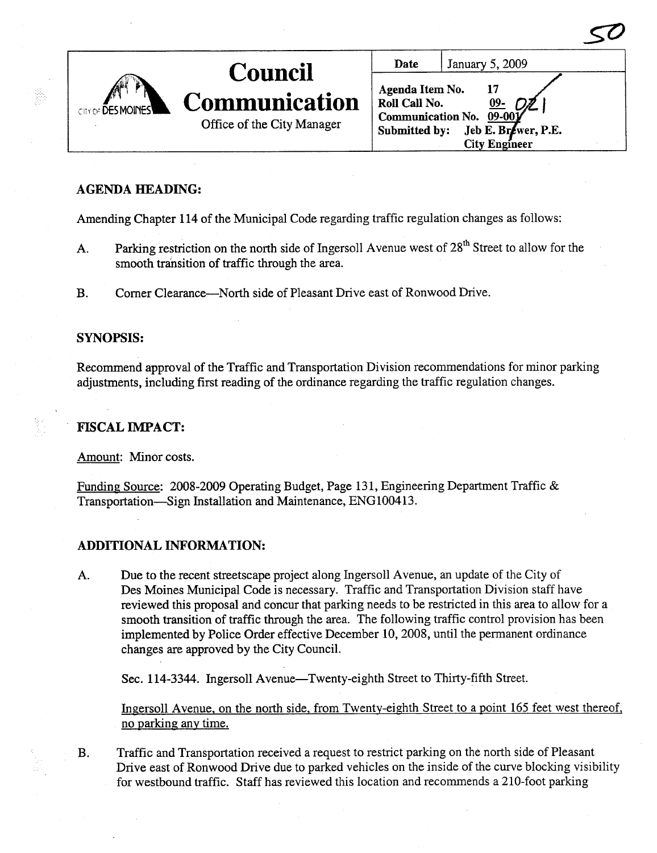| CITY OF DES MOINES | <b>Council</b><br>Communication | Date<br>Agenda Item No.<br>Roll Call No. | January 5, 2009                                                        |
|--------------------|---------------------------------|------------------------------------------|------------------------------------------------------------------------|
|                    | Office of the City Manager      | Submitted by:                            | Communication No. 09-00<br>Jeb E. Brewer, P.E.<br><b>City Engineer</b> |

## AGENDA HEADING:

Amending Chapter 114 of the Municipal Code regarding traffic regulation changes as follows:

- A. Parking restriction on the north side of Ingersoll Avenue west of 28<sup>th</sup> Street to allow for the smooth transition of traffic through the area.
- B. Corner Clearance-North side of Pleasant Drive east of Ronwood Drive.

## SYNOPSiS:

Recommend approval of the Traffic and Transportation Division recommendations for minor parking adjustments, including first reading of the ordinance regarding the traffic regulation changes.

FISCAL IMPACT:

Amount: Minor costs.

Funding Source: 2008-2009 Operating Budget, Page 131, Engineering Department Traffic & Transportation-Sign Installation and Maintenance, ENG100413.

## ADDITIONAL INFORMATION:

A. Due to the recent streetscape project along Ingersoll A venue, an update of the City of Des Moines Municipal Code is necessary. Traffic and Transportation Division staff have reviewed this proposal and concur that parking needs to be restricted in this area to allow for a smooth transition of traffic through the area. The following traffic control provision has been implemented by Police Order effective December 10, 2008, until the permanent ordinance changes are approved by the City CounciL.

Sec. 114-3344. Ingersoll Avenue—Twenty-eighth Street to Thirty-fifth Street.

Ingersoll Avenue, on the north side, from Twenty-eighth Street to a point 165 feet west thereof, no parking any time.

B. Traffic and Transportation received a request to restrict parking on the north side of Pleasant Drive east of Ronwood Drive due to parked vehicles on the inside of the curve blocking visibility for westbound traffic. Staff has reviewed this location and recommends a 21O-foot parking